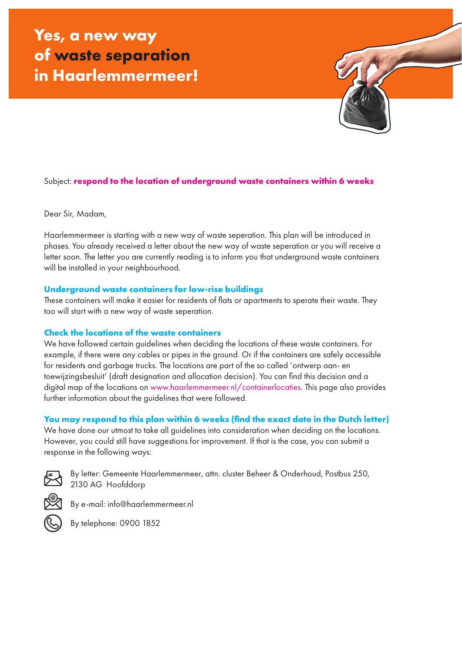

# Subject: **respond to the location of underground waste containers within 6 weeks**

Dear Sir, Madam,

Haarlemmermeer is starting with a new way of waste seperation. This plan will be introduced in phases. You already received a letter about the new way of waste seperation or you will receive a letter soon. The letter you are currently reading is to inform you that underground waste containers will be installed in your neighbourhood.

### **Underground waste containers for low-rise buildings**

These containers will make it easier for residents of flats or apartments to sperate their waste. They too will start with a new way of waste seperation.

### **Check the locations of the waste containers**

We have followed certain guidelines when deciding the locations of these waste containers. For example, if there were any cables or pipes in the ground. Or if the containers are safely accessible for residents and garbage trucks. The locations are part of the so called 'ontwerp aan- en toewijzingsbesluit' (draft designation and allocation decision). You can find this decision and a digital map of the locations on www.haarlemmermeer.nl/containerlocaties. This page also provides further information about the guidelines that were followed.

## **You may respond to this plan within 6 weeks (find the exact date in the Dutch letter)**

We have done our utmost to take all guidelines into consideration when deciding on the locations. However, you could still have suggestions for improvement. If that is the case, you can submit a response in the following ways:



By letter: Gemeente Haarlemmermeer, attn. cluster Beheer & Onderhoud, Postbus 250, 2130 AG Hoofddorp



By e-mail: info@haarlemmermeer.nl



By telephone: 0900 1852